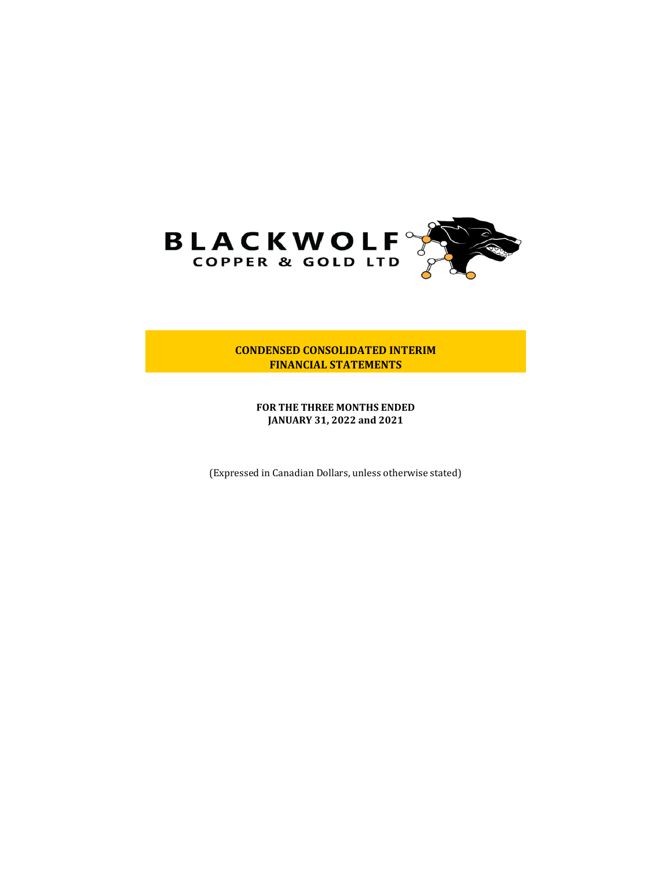

**CONDENSED CONSOLIDATED INTERIM FINANCIAL STATEMENTS**

**FOR THE THREE MONTHS ENDED JANUARY 31, 2022 and 2021**

(Expressed in Canadian Dollars, unless otherwise stated)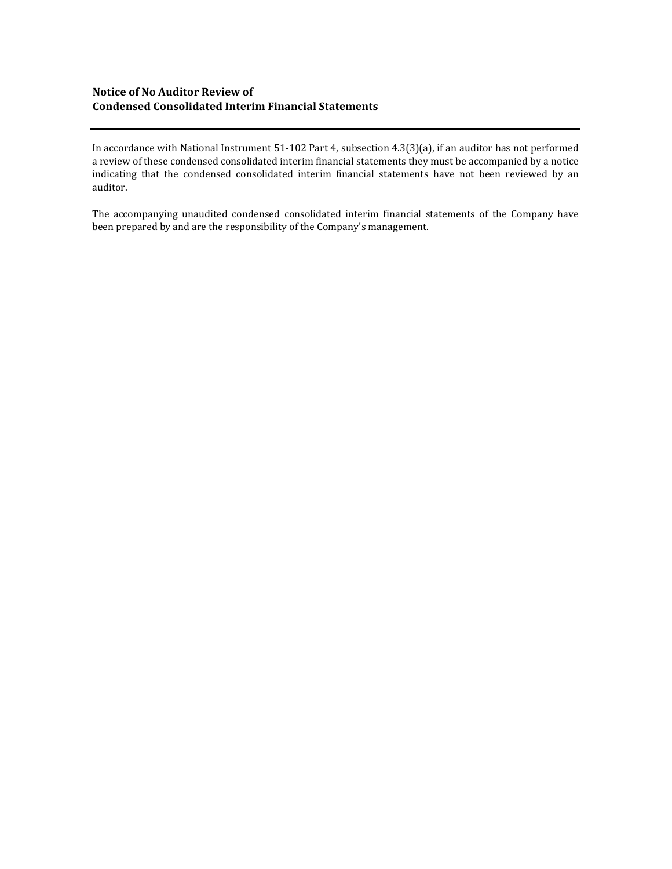## **Notice of No Auditor Review of Condensed Consolidated Interim Financial Statements**

In accordance with National Instrument 51-102 Part 4, subsection 4.3(3)(a), if an auditor has not performed a review of these condensed consolidated interim financial statements they must be accompanied by a notice indicating that the condensed consolidated interim financial statements have not been reviewed by an auditor.

The accompanying unaudited condensed consolidated interim financial statements of the Company have been prepared by and are the responsibility of the Company's management.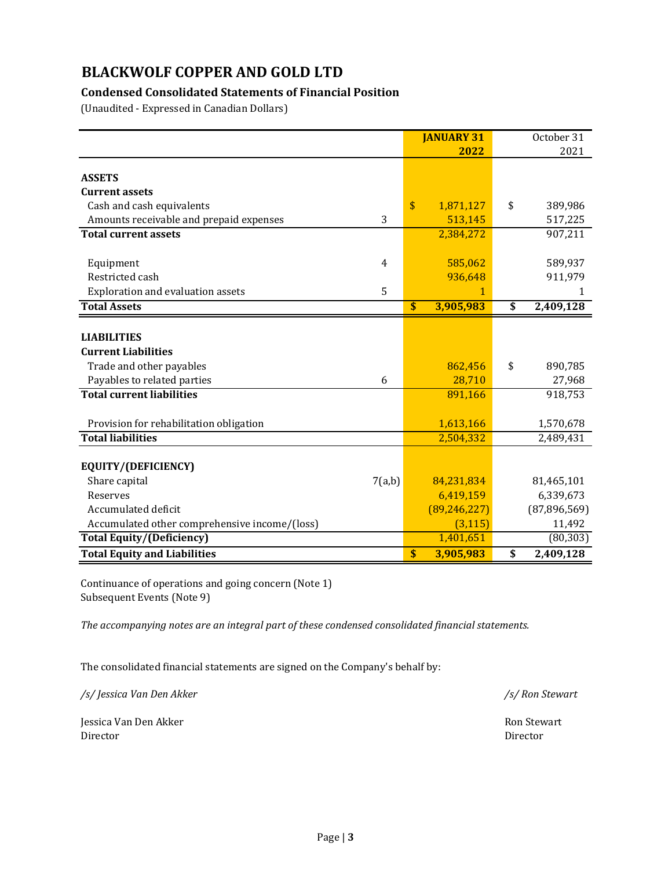## **Condensed Consolidated Statements of Financial Position**

(Unaudited - Expressed in Canadian Dollars)

|                                               |                | <b>JANUARY 31</b> | October 31      |
|-----------------------------------------------|----------------|-------------------|-----------------|
|                                               |                | 2022              | 2021            |
|                                               |                |                   |                 |
| <b>ASSETS</b>                                 |                |                   |                 |
| <b>Current assets</b>                         |                |                   |                 |
| Cash and cash equivalents                     |                | \$<br>1,871,127   | \$<br>389,986   |
| Amounts receivable and prepaid expenses       | 3              | 513,145           | 517,225         |
| <b>Total current assets</b>                   |                | 2,384,272         | 907,211         |
| Equipment                                     | $\overline{4}$ | 585,062           | 589,937         |
| Restricted cash                               |                | 936,648           | 911,979         |
| Exploration and evaluation assets             | 5              | 1                 | 1               |
|                                               |                |                   |                 |
| <b>Total Assets</b>                           |                | \$<br>3,905,983   | \$<br>2,409,128 |
|                                               |                |                   |                 |
| <b>LIABILITIES</b>                            |                |                   |                 |
| <b>Current Liabilities</b>                    |                |                   |                 |
| Trade and other payables                      |                | 862,456           | \$<br>890,785   |
| Payables to related parties                   | 6              | 28,710            | 27,968          |
| <b>Total current liabilities</b>              |                | 891,166           | 918,753         |
|                                               |                |                   |                 |
| Provision for rehabilitation obligation       |                | 1,613,166         | 1,570,678       |
| <b>Total liabilities</b>                      |                | 2,504,332         | 2,489,431       |
| EQUITY/(DEFICIENCY)                           |                |                   |                 |
| Share capital                                 | 7(a,b)         | 84,231,834        | 81,465,101      |
| Reserves                                      |                | 6,419,159         | 6,339,673       |
| Accumulated deficit                           |                | (89, 246, 227)    | (87,896,569)    |
| Accumulated other comprehensive income/(loss) |                | (3, 115)          | 11,492          |
|                                               |                |                   |                 |
| <b>Total Equity/(Deficiency)</b>              |                | 1,401,651         | (80, 303)       |
| <b>Total Equity and Liabilities</b>           |                | \$<br>3,905,983   | \$<br>2,409,128 |

Continuance of operations and going concern (Note 1) Subsequent Events (Note 9)

*The accompanying notes are an integral part of these condensed consolidated financial statements.*

The consolidated financial statements are signed on the Company's behalf by:

*/s/ Jessica Van Den Akker /s/ Ron Stewart*

Jessica Van Den Akker Ron Stewart Director Ron Stewart Director Ron Stewart Director Ron Stewart Director Ron Stewart Director Ron Stewart Director Ron Stewart Director Ron Stewart Director Ron Stewart Director Ron Stewart Director Director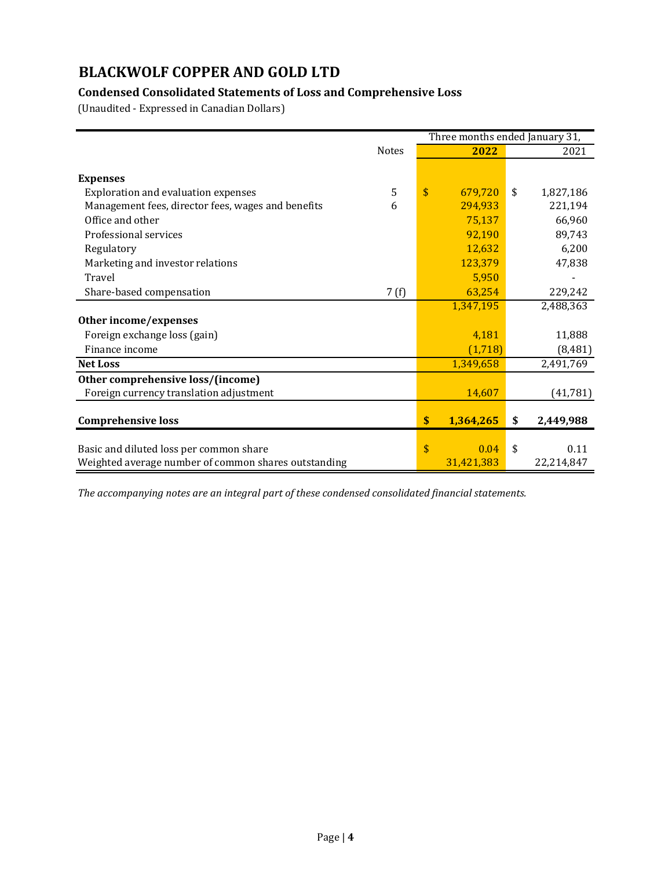## **Condensed Consolidated Statements of Loss and Comprehensive Loss**

(Unaudited - Expressed in Canadian Dollars)

|                                                      |              | Three months ended January 31, |            |    |            |
|------------------------------------------------------|--------------|--------------------------------|------------|----|------------|
|                                                      | <b>Notes</b> |                                | 2022       |    | 2021       |
|                                                      |              |                                |            |    |            |
| <b>Expenses</b>                                      |              |                                |            |    |            |
| <b>Exploration and evaluation expenses</b>           | 5            | \$                             | 679,720    | \$ | 1,827,186  |
| Management fees, director fees, wages and benefits   | 6            |                                | 294,933    |    | 221,194    |
| Office and other                                     |              |                                | 75,137     |    | 66,960     |
| Professional services                                |              |                                | 92,190     |    | 89,743     |
| Regulatory                                           |              |                                | 12,632     |    | 6,200      |
| Marketing and investor relations                     |              |                                | 123,379    |    | 47,838     |
| Travel                                               |              |                                | 5,950      |    |            |
| Share-based compensation                             | 7(f)         |                                | 63,254     |    | 229,242    |
|                                                      |              |                                | 1,347,195  |    | 2,488,363  |
| Other income/expenses                                |              |                                |            |    |            |
| Foreign exchange loss (gain)                         |              |                                | 4,181      |    | 11,888     |
| Finance income                                       |              |                                | (1,718)    |    | (8, 481)   |
| <b>Net Loss</b>                                      |              |                                | 1,349,658  |    | 2,491,769  |
| Other comprehensive loss/(income)                    |              |                                |            |    |            |
| Foreign currency translation adjustment              |              |                                | 14,607     |    | (41,781)   |
|                                                      |              |                                |            |    |            |
| <b>Comprehensive loss</b>                            |              | \$                             | 1,364,265  | \$ | 2,449,988  |
|                                                      |              |                                |            |    |            |
| Basic and diluted loss per common share              |              | \$                             | 0.04       | \$ | 0.11       |
| Weighted average number of common shares outstanding |              |                                | 31,421,383 |    | 22,214,847 |

*The accompanying notes are an integral part of these condensed consolidated financial statements.*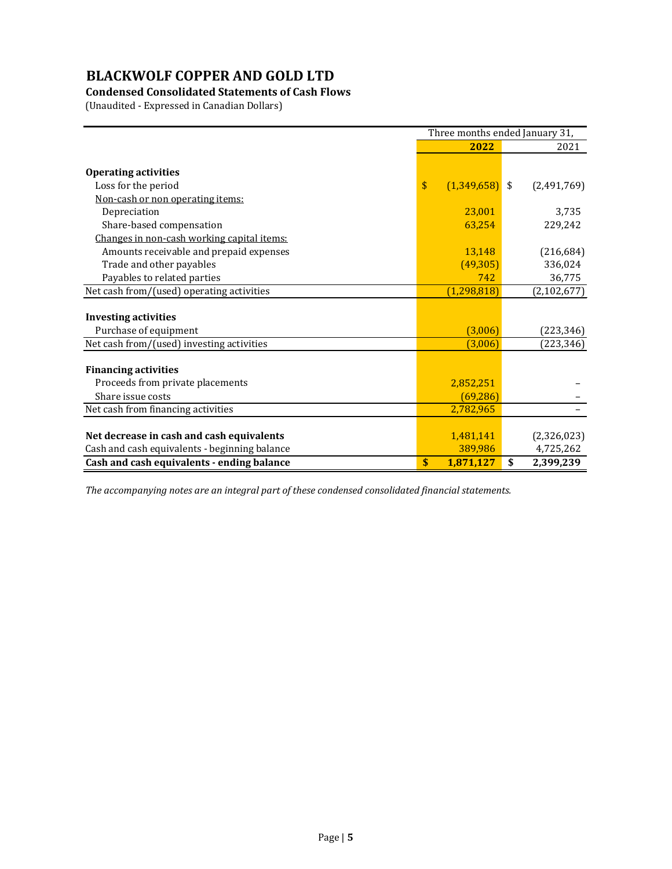## **Condensed Consolidated Statements of Cash Flows**

(Unaudited - Expressed in Canadian Dollars)

|                                               | Three months ended January 31,  |                  |    |               |
|-----------------------------------------------|---------------------------------|------------------|----|---------------|
|                                               |                                 | 2022             |    | 2021          |
|                                               |                                 |                  |    |               |
| <b>Operating activities</b>                   |                                 |                  |    |               |
| Loss for the period                           | $\boldsymbol{\hat{\mathsf{s}}}$ | $(1,349,658)$ \$ |    | (2,491,769)   |
| Non-cash or non operating items:              |                                 |                  |    |               |
| Depreciation                                  |                                 | 23,001           |    | 3,735         |
| Share-based compensation                      |                                 | 63,254           |    | 229,242       |
| Changes in non-cash working capital items:    |                                 |                  |    |               |
| Amounts receivable and prepaid expenses       |                                 | 13,148           |    | (216, 684)    |
| Trade and other payables                      |                                 | (49,305)         |    | 336,024       |
| Payables to related parties                   |                                 | 742              |    | 36,775        |
| Net cash from/(used) operating activities     |                                 | (1, 298, 818)    |    | (2, 102, 677) |
|                                               |                                 |                  |    |               |
| <b>Investing activities</b>                   |                                 |                  |    |               |
| Purchase of equipment                         |                                 | (3,006)          |    | (223, 346)    |
| Net cash from/(used) investing activities     |                                 | (3,006)          |    | (223, 346)    |
|                                               |                                 |                  |    |               |
| <b>Financing activities</b>                   |                                 |                  |    |               |
| Proceeds from private placements              |                                 | 2,852,251        |    |               |
| Share issue costs                             |                                 | (69, 286)        |    |               |
| Net cash from financing activities            |                                 | 2,782,965        |    |               |
|                                               |                                 |                  |    |               |
| Net decrease in cash and cash equivalents     |                                 | 1,481,141        |    | (2,326,023)   |
| Cash and cash equivalents - beginning balance |                                 | 389,986          |    | 4,725,262     |
| Cash and cash equivalents - ending balance    | \$                              | 1,871,127        | \$ | 2,399,239     |

*The accompanying notes are an integral part of these condensed consolidated financial statements.*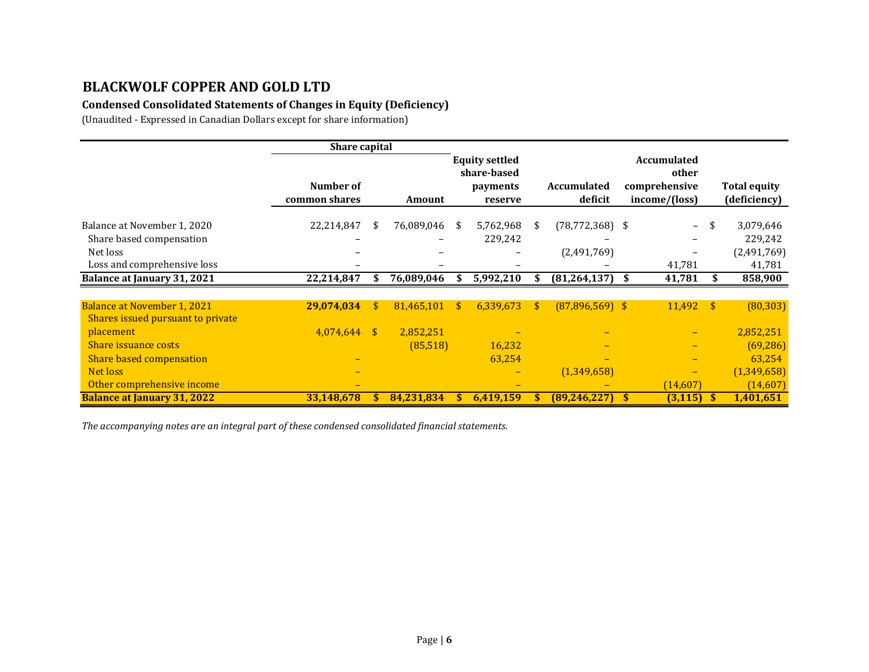## **Condensed Consolidated Statements of Changes in Equity (Deficiency)**

(Unaudited - Expressed in Canadian Dollars except for share information)

|                                    | Share capital              |               |            |    |                                                             |    |                        |                                                               |      |                                     |
|------------------------------------|----------------------------|---------------|------------|----|-------------------------------------------------------------|----|------------------------|---------------------------------------------------------------|------|-------------------------------------|
|                                    | Number of<br>common shares |               | Amount     |    | <b>Equity settled</b><br>share-based<br>payments<br>reserve |    | Accumulated<br>deficit | <b>Accumulated</b><br>other<br>comprehensive<br>income/(loss) |      | <b>Total equity</b><br>(deficiency) |
|                                    |                            |               |            |    |                                                             |    |                        |                                                               |      |                                     |
| Balance at November 1, 2020        | 22,214,847                 | S.            | 76,089,046 | S. | 5,762,968                                                   | S. | $(78, 772, 368)$ \$    | $-$                                                           | -\$  | 3,079,646                           |
| Share based compensation           |                            |               |            |    | 229,242                                                     |    |                        |                                                               |      | 229,242                             |
| Net loss                           |                            |               |            |    |                                                             |    | (2,491,769)            |                                                               |      | (2,491,769)                         |
| Loss and comprehensive loss        |                            |               |            |    |                                                             |    |                        | 41,781                                                        |      | 41,781                              |
| <b>Balance at January 31, 2021</b> | 22,214,847                 |               | 76,089,046 |    | 5,992,210                                                   |    | $(81, 264, 137)$ \$    | 41,781                                                        |      | 858,900                             |
|                                    |                            |               |            |    |                                                             |    |                        |                                                               |      |                                     |
| <b>Balance at November 1, 2021</b> | 29,074,034                 | \$            | 81,465,101 | \$ | 6,339,673                                                   | \$ | $(87,896,569)$ \$      | 11,492                                                        | - \$ | (80, 303)                           |
| Shares issued pursuant to private  |                            |               |            |    |                                                             |    |                        |                                                               |      |                                     |
| placement                          | 4,074,644                  | <sup>\$</sup> | 2,852,251  |    |                                                             |    |                        |                                                               |      | 2,852,251                           |
| Share issuance costs               |                            |               | (85,518)   |    | 16,232                                                      |    |                        |                                                               |      | (69, 286)                           |
| Share based compensation           |                            |               |            |    | 63,254                                                      |    |                        |                                                               |      | 63,254                              |
| Net loss                           |                            |               |            |    |                                                             |    | (1,349,658)            |                                                               |      | (1,349,658)                         |
| Other comprehensive income         |                            |               |            |    |                                                             |    |                        | (14,607)                                                      |      | (14,607)                            |
| <b>Balance at January 31, 2022</b> | 33,148,678                 | S.            | 84,231,834 |    | 6,419,159                                                   |    | (89, 246, 227)         | (3, 115)                                                      | -S   | 1,401,651                           |

*The accompanying notes are an integral part of these condensed consolidated financial statements.*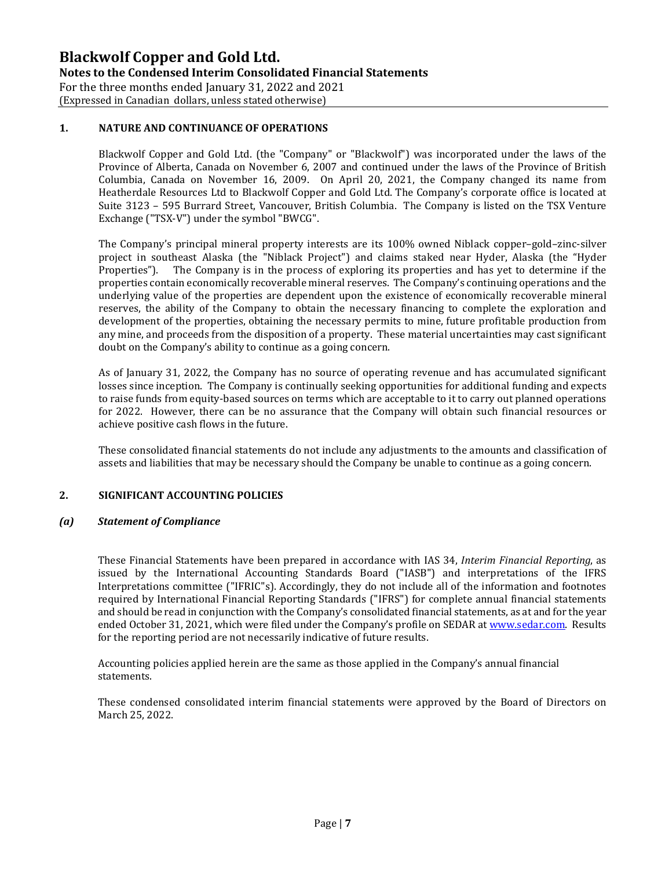**Notes to the Condensed Interim Consolidated Financial Statements** 

For the three months ended January 31, 2022 and 2021

(Expressed in Canadian dollars, unless stated otherwise)

## **1. NATURE AND CONTINUANCE OF OPERATIONS**

Blackwolf Copper and Gold Ltd. (the "Company" or "Blackwolf") was incorporated under the laws of the Province of Alberta, Canada on November 6, 2007 and continued under the laws of the Province of British Columbia, Canada on November 16, 2009. On April 20, 2021, the Company changed its name from Heatherdale Resources Ltd to Blackwolf Copper and Gold Ltd. The Company's corporate office is located at Suite 3123 – 595 Burrard Street, Vancouver, British Columbia. The Company is listed on the TSX Venture Exchange ("TSX-V") under the symbol "BWCG".

The Company's principal mineral property interests are its 100% owned Niblack copper–gold–zinc-silver project in southeast Alaska (the "Niblack Project") and claims staked near Hyder, Alaska (the "Hyder<br>Properties"). The Company is in the process of exploring its properties and has vet to determine if the The Company is in the process of exploring its properties and has yet to determine if the properties contain economically recoverable mineral reserves. The Company's continuing operations and the underlying value of the properties are dependent upon the existence of economically recoverable mineral reserves, the ability of the Company to obtain the necessary financing to complete the exploration and development of the properties, obtaining the necessary permits to mine, future profitable production from any mine, and proceeds from the disposition of a property. These material uncertainties may cast significant doubt on the Company's ability to continue as a going concern.

As of January 31, 2022, the Company has no source of operating revenue and has accumulated significant losses since inception. The Company is continually seeking opportunities for additional funding and expects to raise funds from equity-based sources on terms which are acceptable to it to carry out planned operations for 2022. However, there can be no assurance that the Company will obtain such financial resources or achieve positive cash flows in the future.

These consolidated financial statements do not include any adjustments to the amounts and classification of assets and liabilities that may be necessary should the Company be unable to continue as a going concern.

### **2. SIGNIFICANT ACCOUNTING POLICIES**

### *(a) Statement of Compliance*

These Financial Statements have been prepared in accordance with IAS 34, *Interim Financial Reporting*, as issued by the International Accounting Standards Board ("IASB") and interpretations of the IFRS Interpretations committee ("IFRIC"s). Accordingly, they do not include all of the information and footnotes required by International Financial Reporting Standards ("IFRS") for complete annual financial statements and should be read in conjunction with the Company's consolidated financial statements, as at and for the year ended October 31, 2021, which were filed under the Company's profile on SEDAR a[t www.sedar.com.](http://www.sedar.com/) Results for the reporting period are not necessarily indicative of future results.

Accounting policies applied herein are the same as those applied in the Company's annual financial statements.

These condensed consolidated interim financial statements were approved by the Board of Directors on March 25, 2022.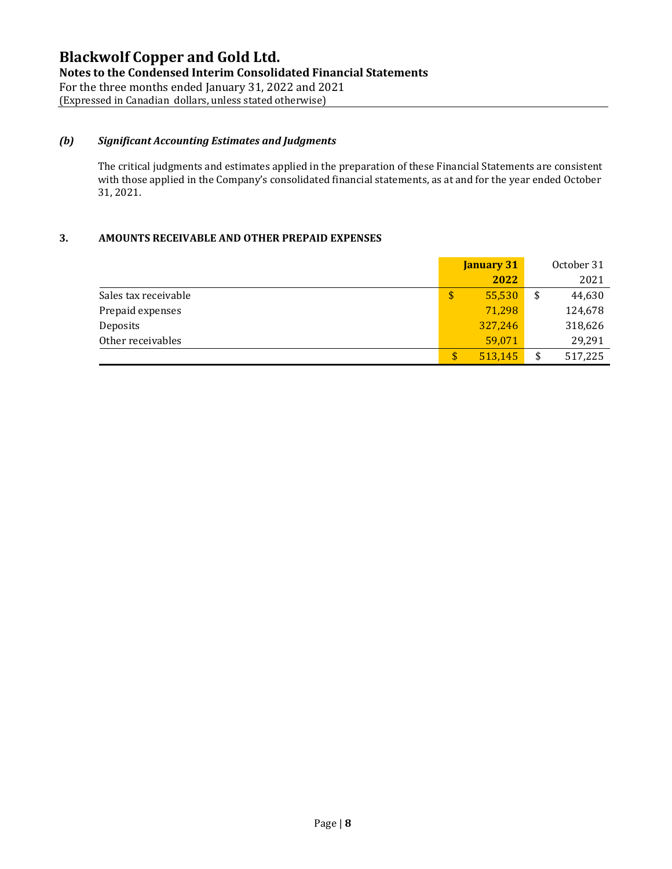**Notes to the Condensed Interim Consolidated Financial Statements** 

For the three months ended January 31, 2022 and 2021 (Expressed in Canadian dollars, unless stated otherwise)

### *(b) Significant Accounting Estimates and Judgments*

The critical judgments and estimates applied in the preparation of these Financial Statements are consistent with those applied in the Company's consolidated financial statements, as at and for the year ended October 31, 2021.

### **3. AMOUNTS RECEIVABLE AND OTHER PREPAID EXPENSES**

|                      | <b>January 31</b> |    | October 31 |
|----------------------|-------------------|----|------------|
|                      | 2022              |    | 2021       |
| Sales tax receivable | \$<br>55,530      | \$ | 44,630     |
| Prepaid expenses     | 71,298            |    | 124,678    |
| Deposits             | 327,246           |    | 318,626    |
| Other receivables    | 59,071            |    | 29,291     |
|                      | \$<br>513,145     | \$ | 517,225    |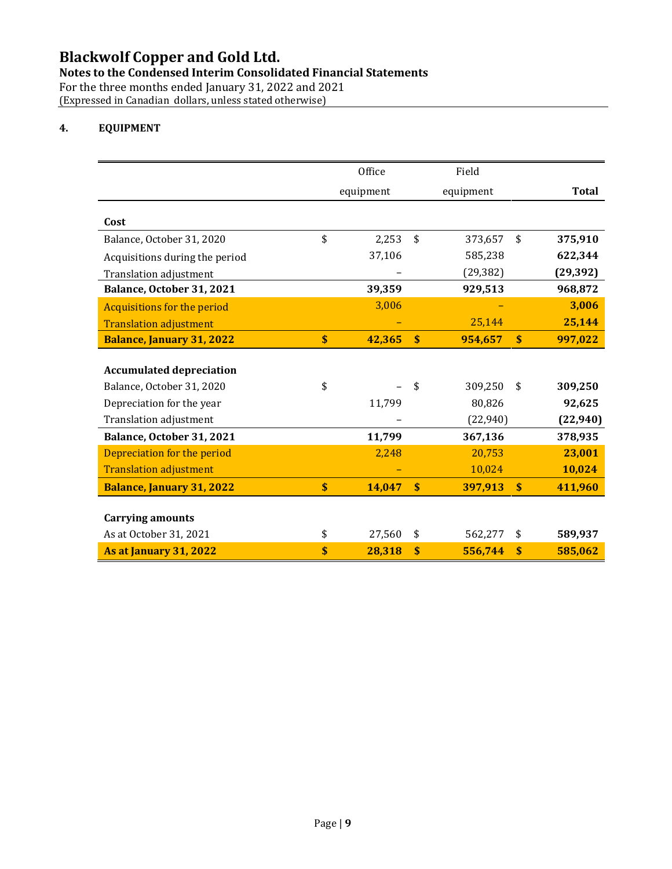**Notes to the Condensed Interim Consolidated Financial Statements** 

For the three months ended January 31, 2022 and 2021 (Expressed in Canadian dollars, unless stated otherwise)

### **4. EQUIPMENT**

|                                    | Office                    |           | Field                     |           |                           |              |
|------------------------------------|---------------------------|-----------|---------------------------|-----------|---------------------------|--------------|
|                                    |                           | equipment |                           | equipment |                           | <b>Total</b> |
|                                    |                           |           |                           |           |                           |              |
| Cost                               |                           |           |                           |           |                           |              |
| Balance, October 31, 2020          | \$                        | 2,253     | \$                        | 373,657   | \$                        | 375,910      |
| Acquisitions during the period     |                           | 37,106    |                           | 585,238   |                           | 622,344      |
| <b>Translation adjustment</b>      |                           |           |                           | (29, 382) |                           | (29, 392)    |
| Balance, October 31, 2021          |                           | 39,359    |                           | 929,513   |                           | 968,872      |
| <b>Acquisitions for the period</b> |                           | 3,006     |                           |           |                           | 3,006        |
| <b>Translation adjustment</b>      |                           |           |                           | 25,144    |                           | 25,144       |
| <b>Balance, January 31, 2022</b>   | $\overline{\mathbf{s}}$   | 42,365    | $\boldsymbol{\mathsf{s}}$ | 954,657   | $\boldsymbol{\mathsf{s}}$ | 997,022      |
|                                    |                           |           |                           |           |                           |              |
| <b>Accumulated depreciation</b>    |                           |           |                           |           |                           |              |
| Balance, October 31, 2020          | \$                        |           | \$                        | 309,250   | \$                        | 309,250      |
| Depreciation for the year          |                           | 11,799    |                           | 80,826    |                           | 92,625       |
| Translation adjustment             |                           |           |                           | (22, 940) |                           | (22, 940)    |
| Balance, October 31, 2021          |                           | 11,799    |                           | 367,136   |                           | 378,935      |
| Depreciation for the period        |                           | 2,248     |                           | 20,753    |                           | 23,001       |
| <b>Translation adjustment</b>      |                           |           |                           | 10,024    |                           | 10,024       |
| <b>Balance, January 31, 2022</b>   | $\boldsymbol{\mathsf{s}}$ | 14,047    | $\boldsymbol{\$}$         | 397,913   | \$                        | 411,960      |
|                                    |                           |           |                           |           |                           |              |
| <b>Carrying amounts</b>            |                           |           |                           |           |                           |              |
| As at October 31, 2021             | \$                        | 27,560    | \$                        | 562,277   | \$                        | 589,937      |
| <b>As at January 31, 2022</b>      | \$                        | 28,318    | \$                        | 556,744   | $\boldsymbol{\mathsf{s}}$ | 585,062      |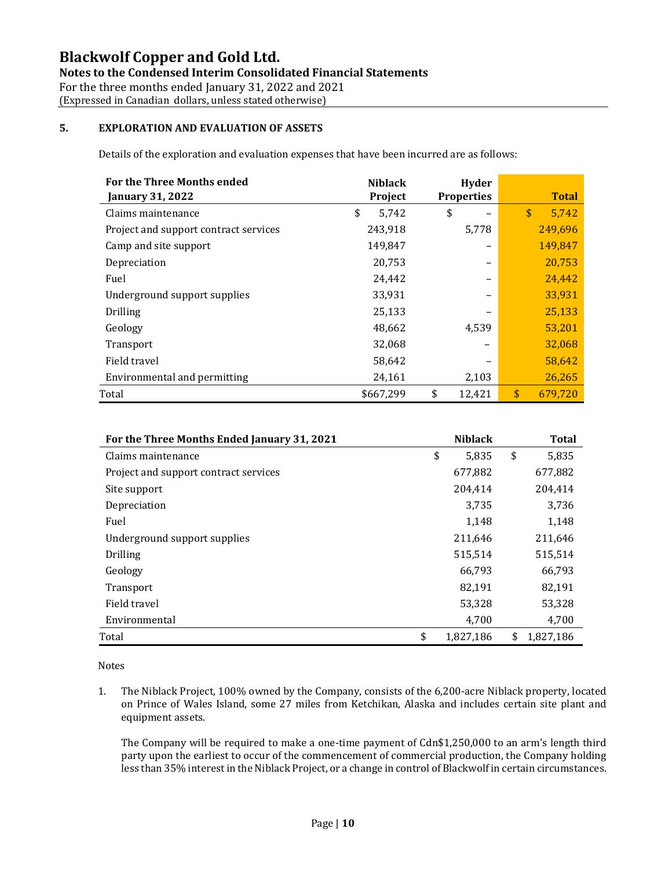**Notes to the Condensed Interim Consolidated Financial Statements** 

For the three months ended January 31, 2022 and 2021 (Expressed in Canadian dollars, unless stated otherwise)

## **5. EXPLORATION AND EVALUATION OF ASSETS**

Details of the exploration and evaluation expenses that have been incurred are as follows:

| <b>For the Three Months ended</b><br><b>January 31, 2022</b> | <b>Niblack</b><br>Project | Hyder<br><b>Properties</b> | <b>Total</b>  |
|--------------------------------------------------------------|---------------------------|----------------------------|---------------|
| Claims maintenance                                           | \$<br>5,742               | \$                         | \$<br>5,742   |
| Project and support contract services                        | 243,918                   | 5,778                      | 249,696       |
| Camp and site support                                        | 149,847                   |                            | 149,847       |
| Depreciation                                                 | 20,753                    |                            | 20,753        |
| Fuel                                                         | 24,442                    |                            | 24,442        |
| Underground support supplies                                 | 33,931                    |                            | 33,931        |
| Drilling                                                     | 25,133                    |                            | 25,133        |
| Geology                                                      | 48,662                    | 4,539                      | 53,201        |
| Transport                                                    | 32,068                    | -                          | 32,068        |
| Field travel                                                 | 58,642                    |                            | 58,642        |
| Environmental and permitting                                 | 24,161                    | 2,103                      | 26,265        |
| Total                                                        | \$667,299                 | \$<br>12,421               | \$<br>679.720 |

| For the Three Months Ended January 31, 2021 | <b>Niblack</b>  | <b>Total</b>    |
|---------------------------------------------|-----------------|-----------------|
| Claims maintenance                          | \$<br>5,835     | \$<br>5,835     |
| Project and support contract services       | 677,882         | 677,882         |
| Site support                                | 204,414         | 204,414         |
| Depreciation                                | 3,735           | 3,736           |
| Fuel                                        | 1,148           | 1,148           |
| Underground support supplies                | 211,646         | 211,646         |
| <b>Drilling</b>                             | 515,514         | 515,514         |
| Geology                                     | 66,793          | 66,793          |
| Transport                                   | 82,191          | 82,191          |
| Field travel                                | 53,328          | 53,328          |
| Environmental                               | 4,700           | 4,700           |
| Total                                       | \$<br>1,827,186 | \$<br>1,827,186 |

Notes

1. The Niblack Project, 100% owned by the Company, consists of the 6,200-acre Niblack property, located on Prince of Wales Island, some 27 miles from Ketchikan, Alaska and includes certain site plant and equipment assets.

The Company will be required to make a one-time payment of Cdn\$1,250,000 to an arm's length third party upon the earliest to occur of the commencement of commercial production, the Company holding less than 35% interest in the Niblack Project, or a change in control of Blackwolf in certain circumstances.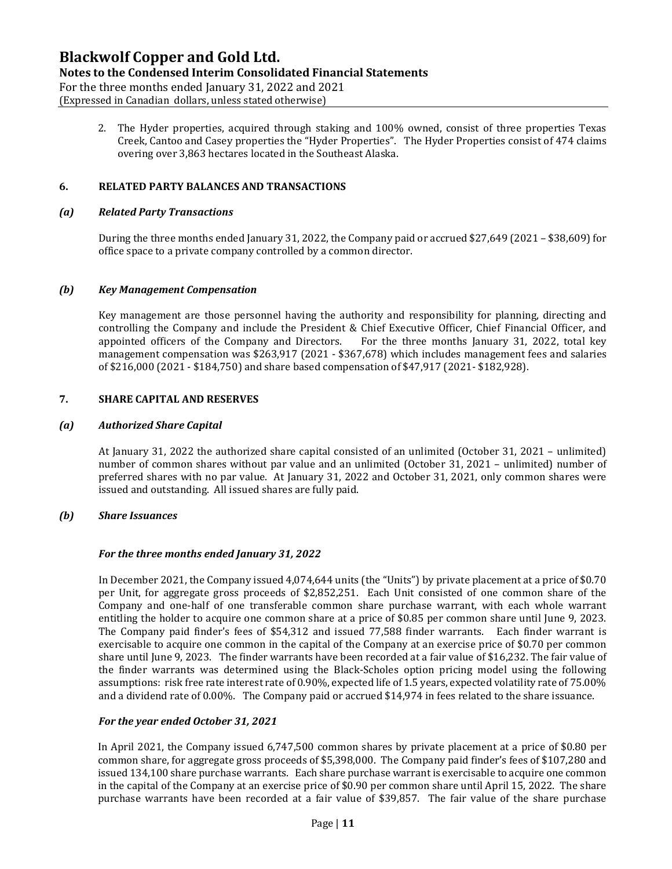### **Notes to the Condensed Interim Consolidated Financial Statements**

For the three months ended January 31, 2022 and 2021 (Expressed in Canadian dollars, unless stated otherwise)

> 2. The Hyder properties, acquired through staking and 100% owned, consist of three properties Texas Creek, Cantoo and Casey properties the "Hyder Properties". The Hyder Properties consist of 474 claims overing over 3,863 hectares located in the Southeast Alaska.

#### **6. RELATED PARTY BALANCES AND TRANSACTIONS**

#### *(a) Related Party Transactions*

During the three months ended January 31, 2022, the Company paid or accrued \$27,649 (2021 – \$38,609) for office space to a private company controlled by a common director.

#### *(b) Key Management Compensation*

Key management are those personnel having the authority and responsibility for planning, directing and controlling the Company and include the President & Chief Executive Officer, Chief Financial Officer, and appointed officers of the Company and Directors. For the three months January 31, 2022, total key For the three months January 31, 2022, total key management compensation was \$263,917 (2021 - \$367,678) which includes management fees and salaries of \$216,000 (2021 - \$184,750) and share based compensation of \$47,917 (2021- \$182,928).

### **7. SHARE CAPITAL AND RESERVES**

#### *(a) Authorized Share Capital*

At January 31, 2022 the authorized share capital consisted of an unlimited (October 31, 2021 – unlimited) number of common shares without par value and an unlimited (October 31, 2021 – unlimited) number of preferred shares with no par value. At January 31, 2022 and October 31, 2021, only common shares were issued and outstanding. All issued shares are fully paid.

#### *(b) Share Issuances*

#### *For the three months ended January 31, 2022*

In December 2021, the Company issued 4,074,644 units (the "Units") by private placement at a price of \$0.70 per Unit, for aggregate gross proceeds of \$2,852,251. Each Unit consisted of one common share of the Company and one-half of one transferable common share purchase warrant, with each whole warrant entitling the holder to acquire one common share at a price of \$0.85 per common share until June 9, 2023. The Company paid finder's fees of \$54,312 and issued 77,588 finder warrants. Each finder warrant is exercisable to acquire one common in the capital of the Company at an exercise price of \$0.70 per common share until June 9, 2023. The finder warrants have been recorded at a fair value of \$16,232. The fair value of the finder warrants was determined using the Black-Scholes option pricing model using the following assumptions: risk free rate interest rate of 0.90%, expected life of 1.5 years, expected volatility rate of 75.00% and a dividend rate of 0.00%. The Company paid or accrued \$14,974 in fees related to the share issuance.

### *For the year ended October 31, 2021*

In April 2021, the Company issued 6,747,500 common shares by private placement at a price of \$0.80 per common share, for aggregate gross proceeds of \$5,398,000. The Company paid finder's fees of \$107,280 and issued 134,100 share purchase warrants. Each share purchase warrant is exercisable to acquire one common in the capital of the Company at an exercise price of \$0.90 per common share until April 15, 2022. The share purchase warrants have been recorded at a fair value of \$39,857. The fair value of the share purchase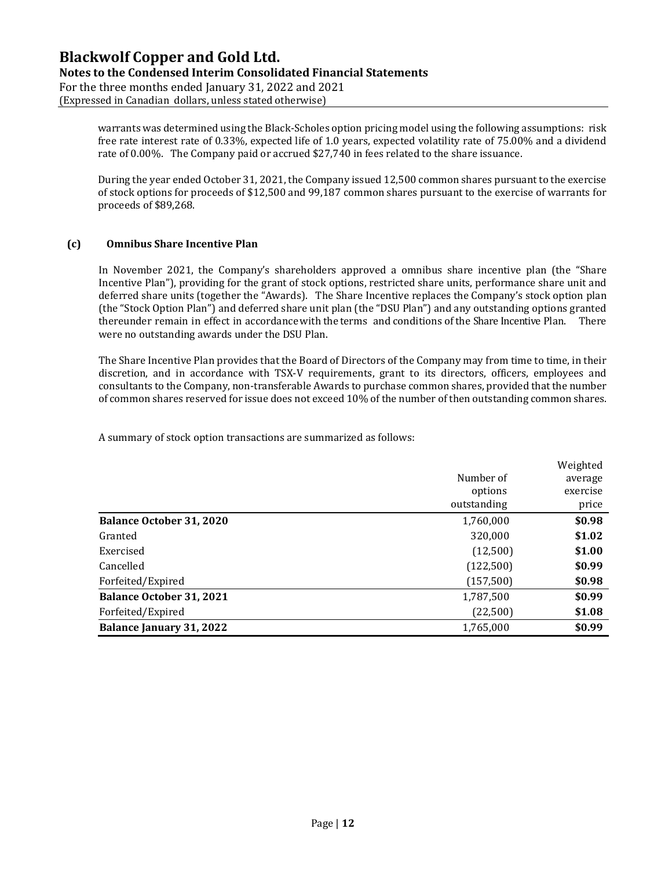### **Notes to the Condensed Interim Consolidated Financial Statements**

For the three months ended January 31, 2022 and 2021 (Expressed in Canadian dollars, unless stated otherwise)

> warrants was determined using the Black-Scholes option pricing model using the following assumptions: risk free rate interest rate of 0.33%, expected life of 1.0 years, expected volatility rate of 75.00% and a dividend rate of 0.00%. The Company paid or accrued \$27,740 in fees related to the share issuance.

> During the year ended October 31, 2021, the Company issued 12,500 common shares pursuant to the exercise of stock options for proceeds of \$12,500 and 99,187 common shares pursuant to the exercise of warrants for proceeds of \$89,268.

### **(c) Omnibus Share Incentive Plan**

In November 2021, the Company's shareholders approved a omnibus share incentive plan (the "Share Incentive Plan"), providing for the grant of stock options, restricted share units, performance share unit and deferred share units (together the "Awards). The Share Incentive replaces the Company's stock option plan (the "Stock Option Plan") and deferred share unit plan (the "DSU Plan") and any outstanding options granted thereunder remain in effect in accordancewith the terms and conditions of the Share Incentive Plan. There were no outstanding awards under the DSU Plan.

The Share Incentive Plan provides that the Board of Directors of the Company may from time to time, in their discretion, and in accordance with TSX-V requirements, grant to its directors, officers, employees and consultants to the Company, non-transferable Awards to purchase common shares, provided that the number of common shares reserved for issue does not exceed 10% of the number of then outstanding common shares.

A summary of stock option transactions are summarized as follows:

|                                 | Number of<br>options<br>outstanding | Weighted<br>average<br>exercise<br>price |
|---------------------------------|-------------------------------------|------------------------------------------|
| <b>Balance October 31, 2020</b> | 1,760,000                           | \$0.98                                   |
| Granted                         | 320,000                             | \$1.02                                   |
| Exercised                       | (12,500)                            | \$1.00                                   |
| Cancelled                       | (122,500)                           | \$0.99                                   |
| Forfeited/Expired               | (157,500)                           | \$0.98                                   |
| <b>Balance October 31, 2021</b> | 1,787,500                           | \$0.99                                   |
| Forfeited/Expired               | (22,500)                            | \$1.08                                   |
| <b>Balance January 31, 2022</b> | 1,765,000                           | \$0.99                                   |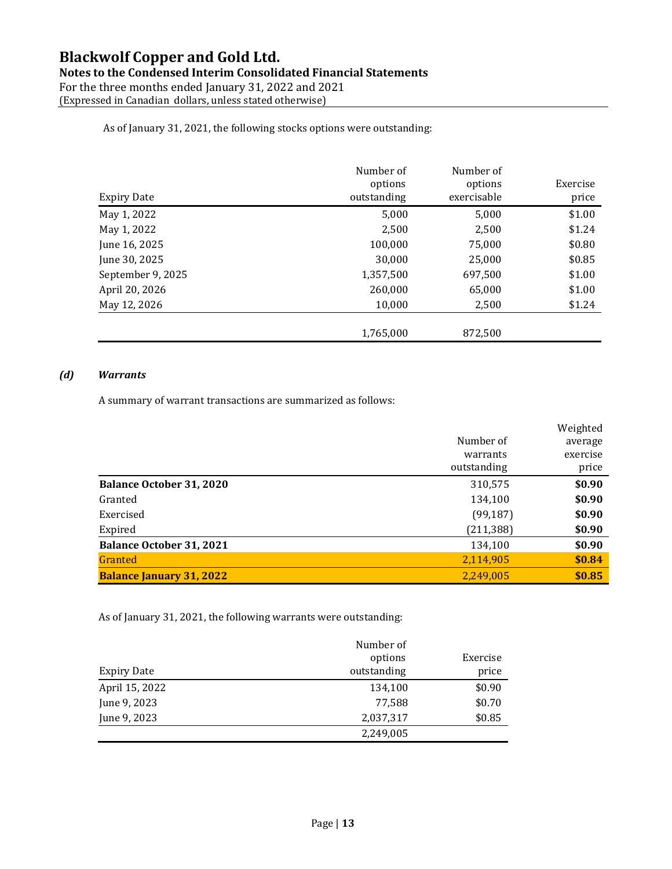## **Notes to the Condensed Interim Consolidated Financial Statements**

For the three months ended January 31, 2022 and 2021 (Expressed in Canadian dollars, unless stated otherwise)

#### As of January 31, 2021, the following stocks options were outstanding:

| <b>Expiry Date</b> | Number of<br>options<br>outstanding | Number of<br>options<br>exercisable | Exercise<br>price |
|--------------------|-------------------------------------|-------------------------------------|-------------------|
| May 1, 2022        | 5,000                               | 5,000                               | \$1.00            |
| May 1, 2022        | 2,500                               | 2,500                               | \$1.24            |
| June 16, 2025      | 100,000                             | 75,000                              | \$0.80            |
| June 30, 2025      | 30,000                              | 25,000                              | \$0.85            |
| September 9, 2025  | 1,357,500                           | 697,500                             | \$1.00            |
| April 20, 2026     | 260,000                             | 65,000                              | \$1.00            |
| May 12, 2026       | 10,000                              | 2,500                               | \$1.24            |
|                    | 1,765,000                           | 872,500                             |                   |

### *(d) Warrants*

A summary of warrant transactions are summarized as follows:

|                                 |             | Weighted |
|---------------------------------|-------------|----------|
|                                 | Number of   | average  |
|                                 | warrants    | exercise |
|                                 | outstanding | price    |
| <b>Balance October 31, 2020</b> | 310,575     | \$0.90   |
| Granted                         | 134,100     | \$0.90   |
| Exercised                       | (99, 187)   | \$0.90   |
| Expired                         | (211, 388)  | \$0.90   |
| <b>Balance October 31, 2021</b> | 134,100     | \$0.90   |
| Granted                         | 2,114,905   | \$0.84   |
| <b>Balance January 31, 2022</b> | 2,249,005   | \$0.85   |

As of January 31, 2021, the following warrants were outstanding:

| Expiry Date    | Number of<br>options<br>outstanding | Exercise<br>price |
|----------------|-------------------------------------|-------------------|
| April 15, 2022 | 134,100                             | \$0.90            |
| June 9, 2023   | 77,588                              | \$0.70            |
| June 9, 2023   | 2,037,317                           | \$0.85            |
|                | 2,249,005                           |                   |